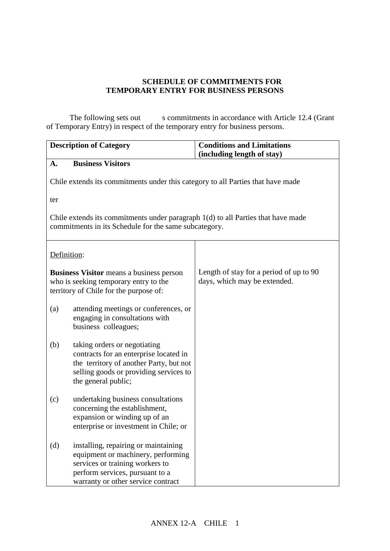## **SCHEDULE OF COMMITMENTS FOR TEMPORARY ENTRY FOR BUSINESS PERSONS**

The following sets out s commitments in accordance with Article 12.4 (Grant of Temporary Entry) in respect of the temporary entry for business persons.

| <b>Description of Category</b>                                                                                                              |                                                                                                                                                                                        | <b>Conditions and Limitations</b><br>(including length of stay)         |  |  |  |  |
|---------------------------------------------------------------------------------------------------------------------------------------------|----------------------------------------------------------------------------------------------------------------------------------------------------------------------------------------|-------------------------------------------------------------------------|--|--|--|--|
| A.                                                                                                                                          | <b>Business Visitors</b>                                                                                                                                                               |                                                                         |  |  |  |  |
| Chile extends its commitments under this category to all Parties that have made                                                             |                                                                                                                                                                                        |                                                                         |  |  |  |  |
| ter                                                                                                                                         |                                                                                                                                                                                        |                                                                         |  |  |  |  |
| Chile extends its commitments under paragraph $1(d)$ to all Parties that have made<br>commitments in its Schedule for the same subcategory. |                                                                                                                                                                                        |                                                                         |  |  |  |  |
| Definition:                                                                                                                                 |                                                                                                                                                                                        |                                                                         |  |  |  |  |
| <b>Business Visitor</b> means a business person<br>who is seeking temporary entry to the<br>territory of Chile for the purpose of:          |                                                                                                                                                                                        | Length of stay for a period of up to 90<br>days, which may be extended. |  |  |  |  |
| (a)                                                                                                                                         | attending meetings or conferences, or<br>engaging in consultations with<br>business colleagues;                                                                                        |                                                                         |  |  |  |  |
| (b)                                                                                                                                         | taking orders or negotiating<br>contracts for an enterprise located in<br>the territory of another Party, but not<br>selling goods or providing services to<br>the general public;     |                                                                         |  |  |  |  |
| (c)                                                                                                                                         | undertaking business consultations<br>concerning the establishment,<br>expansion or winding up of an<br>enterprise or investment in Chile; or                                          |                                                                         |  |  |  |  |
| (d)                                                                                                                                         | installing, repairing or maintaining<br>equipment or machinery, performing<br>services or training workers to<br>perform services, pursuant to a<br>warranty or other service contract |                                                                         |  |  |  |  |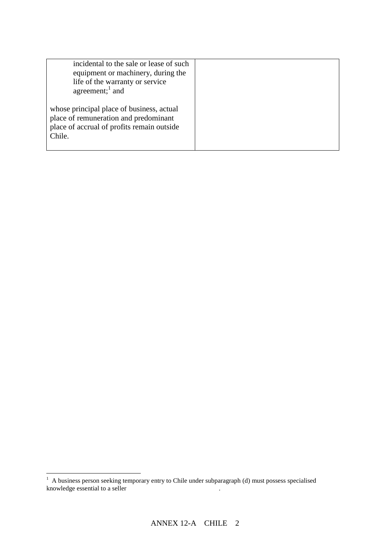| incidental to the sale or lease of such<br>equipment or machinery, during the<br>life of the warranty or service<br>agreement; $\frac{1}{2}$ and |  |
|--------------------------------------------------------------------------------------------------------------------------------------------------|--|
| whose principal place of business, actual<br>place of remuneration and predominant<br>place of accrual of profits remain outside<br>Chile.       |  |

 $\overline{a}$ 

 $1$  A business person seeking temporary entry to Chile under subparagraph (d) must possess specialised knowledge essential to a seller s or lessor is or lessors or lessors or lessors or lessors or lessors or lessors or lessors or lessors or lessors or lessors or lessors or lessors or lessors or lessors or lessors or lessors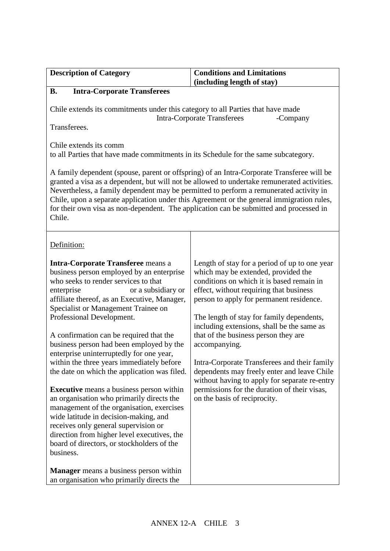| <b>Conditions and Limitations</b><br>(including length of stay)                                                                                                                                                                                                                                                                                                                                                                                                                                                                                                                                              |  |  |
|--------------------------------------------------------------------------------------------------------------------------------------------------------------------------------------------------------------------------------------------------------------------------------------------------------------------------------------------------------------------------------------------------------------------------------------------------------------------------------------------------------------------------------------------------------------------------------------------------------------|--|--|
|                                                                                                                                                                                                                                                                                                                                                                                                                                                                                                                                                                                                              |  |  |
| Chile extends its commitments under this category to all Parties that have made<br><b>Intra-Corporate Transferees</b><br>-Company                                                                                                                                                                                                                                                                                                                                                                                                                                                                            |  |  |
| to all Parties that have made commitments in its Schedule for the same subcategory.                                                                                                                                                                                                                                                                                                                                                                                                                                                                                                                          |  |  |
| A family dependent (spouse, parent or offspring) of an Intra-Corporate Transferee will be<br>granted a visa as a dependent, but will not be allowed to undertake remunerated activities.<br>Nevertheless, a family dependent may be permitted to perform a remunerated activity in<br>Chile, upon a separate application under this Agreement or the general immigration rules,<br>for their own visa as non-dependent. The application can be submitted and processed in<br>Chile.                                                                                                                          |  |  |
|                                                                                                                                                                                                                                                                                                                                                                                                                                                                                                                                                                                                              |  |  |
| Length of stay for a period of up to one year<br>which may be extended, provided the<br>conditions on which it is based remain in<br>effect, without requiring that business<br>person to apply for permanent residence.<br>The length of stay for family dependents,<br>including extensions, shall be the same as<br>that of the business person they are<br>accompanying.<br>Intra-Corporate Transferees and their family<br>dependents may freely enter and leave Chile<br>without having to apply for separate re-entry<br>permissions for the duration of their visas,<br>on the basis of reciprocity. |  |  |
|                                                                                                                                                                                                                                                                                                                                                                                                                                                                                                                                                                                                              |  |  |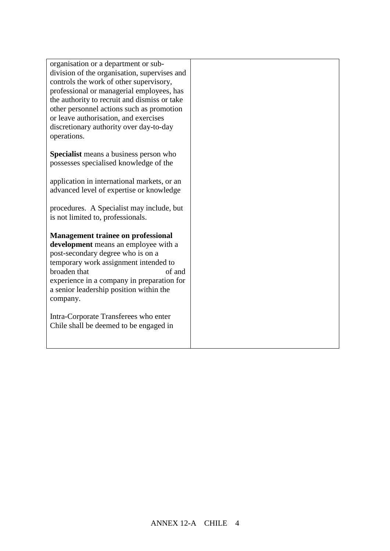organisation or a department or subdivision of the organisation, supervises and controls the work of other supervisory, professional or managerial employees, has the authority to recruit and dismiss or take other personnel actions such as promotion or leave authorisation, and exercises discretionary authority over day-to-day operations.

**Specialist** means a business person who possesses specialised knowledge of the

application in international markets, or an advanced level of expertise or knowledge

procedures. A Specialist may include, but is not limited to, professionals.

**Management trainee on professional development** means an employee with a post-secondary degree who is on a temporary work assignment intended to broaden that employees of and experience in a company in preparation for a senior leadership position within the company.

Intra-Corporate Transferees who enter Chile shall be deemed to be engaged in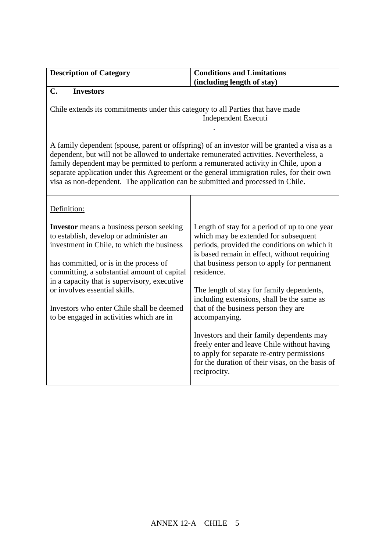| <b>Description of Category</b>                                                                                                                                                                                                                                                                                                                                                                                                                                 | <b>Conditions and Limitations</b>                                                                                                                                                                                                                                                                                                                                                                                                                                                                                                                                                                                    |  |  |  |
|----------------------------------------------------------------------------------------------------------------------------------------------------------------------------------------------------------------------------------------------------------------------------------------------------------------------------------------------------------------------------------------------------------------------------------------------------------------|----------------------------------------------------------------------------------------------------------------------------------------------------------------------------------------------------------------------------------------------------------------------------------------------------------------------------------------------------------------------------------------------------------------------------------------------------------------------------------------------------------------------------------------------------------------------------------------------------------------------|--|--|--|
|                                                                                                                                                                                                                                                                                                                                                                                                                                                                | (including length of stay)                                                                                                                                                                                                                                                                                                                                                                                                                                                                                                                                                                                           |  |  |  |
| $\mathbf{C}$ .<br><b>Investors</b>                                                                                                                                                                                                                                                                                                                                                                                                                             |                                                                                                                                                                                                                                                                                                                                                                                                                                                                                                                                                                                                                      |  |  |  |
|                                                                                                                                                                                                                                                                                                                                                                                                                                                                | Chile extends its commitments under this category to all Parties that have made<br>Independent Executi                                                                                                                                                                                                                                                                                                                                                                                                                                                                                                               |  |  |  |
| A family dependent (spouse, parent or offspring) of an investor will be granted a visa as a<br>dependent, but will not be allowed to undertake remunerated activities. Nevertheless, a<br>family dependent may be permitted to perform a remunerated activity in Chile, upon a<br>separate application under this Agreement or the general immigration rules, for their own<br>visa as non-dependent. The application can be submitted and processed in Chile. |                                                                                                                                                                                                                                                                                                                                                                                                                                                                                                                                                                                                                      |  |  |  |
| Definition:                                                                                                                                                                                                                                                                                                                                                                                                                                                    |                                                                                                                                                                                                                                                                                                                                                                                                                                                                                                                                                                                                                      |  |  |  |
| <b>Investor</b> means a business person seeking<br>to establish, develop or administer an<br>investment in Chile, to which the business<br>has committed, or is in the process of<br>committing, a substantial amount of capital<br>in a capacity that is supervisory, executive<br>or involves essential skills.<br>Investors who enter Chile shall be deemed<br>to be engaged in activities which are in                                                     | Length of stay for a period of up to one year<br>which may be extended for subsequent<br>periods, provided the conditions on which it<br>is based remain in effect, without requiring<br>that business person to apply for permanent<br>residence.<br>The length of stay for family dependents,<br>including extensions, shall be the same as<br>that of the business person they are<br>accompanying.<br>Investors and their family dependents may<br>freely enter and leave Chile without having<br>to apply for separate re-entry permissions<br>for the duration of their visas, on the basis of<br>reciprocity. |  |  |  |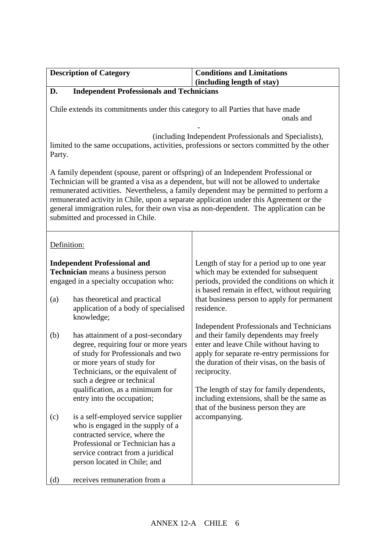|        | <b>Description of Category</b>                                                     | <b>Conditions and Limitations</b>                                                          |
|--------|------------------------------------------------------------------------------------|--------------------------------------------------------------------------------------------|
| D.     | <b>Independent Professionals and Technicians</b>                                   | (including length of stay)                                                                 |
|        |                                                                                    |                                                                                            |
|        | Chile extends its commitments under this category to all Parties that have made    |                                                                                            |
|        |                                                                                    | onals and                                                                                  |
|        |                                                                                    | (including Independent Professionals and Specialists),                                     |
|        |                                                                                    | limited to the same occupations, activities, professions or sectors committed by the other |
| Party. |                                                                                    |                                                                                            |
|        | A family dependent (spouse, parent or offspring) of an Independent Professional or |                                                                                            |
|        |                                                                                    | Technician will be granted a visa as a dependent, but will not be allowed to undertake     |
|        |                                                                                    | remunerated activities. Nevertheless, a family dependent may be permitted to perform a     |
|        |                                                                                    | remunerated activity in Chile, upon a separate application under this Agreement or the     |
|        | submitted and processed in Chile.                                                  | general immigration rules, for their own visa as non-dependent. The application can be     |
|        |                                                                                    |                                                                                            |
|        |                                                                                    |                                                                                            |
|        | Definition:                                                                        |                                                                                            |
|        | <b>Independent Professional and</b>                                                | Length of stay for a period up to one year                                                 |
|        | Technician means a business person                                                 | which may be extended for subsequent                                                       |
|        | engaged in a specialty occupation who:                                             | periods, provided the conditions on which it                                               |
|        |                                                                                    | is based remain in effect, without requiring                                               |
| (a)    | has theoretical and practical                                                      | that business person to apply for permanent                                                |
|        | application of a body of specialised                                               | residence.                                                                                 |
|        | knowledge;                                                                         |                                                                                            |
| (b)    | has attainment of a post-secondary                                                 | <b>Independent Professionals and Technicians</b><br>and their family dependents may freely |
|        | degree, requiring four or more years                                               | enter and leave Chile without having to                                                    |
|        | of study for Professionals and two                                                 | apply for separate re-entry permissions for                                                |
|        | or more years of study for                                                         | the duration of their visas, on the basis of                                               |
|        | Technicians, or the equivalent of                                                  | reciprocity.                                                                               |
|        | such a degree or technical                                                         |                                                                                            |
|        | qualification, as a minimum for                                                    | The length of stay for family dependents,                                                  |
|        | entry into the occupation;                                                         | including extensions, shall be the same as<br>that of the business person they are         |
| (c)    | is a self-employed service supplier                                                | accompanying.                                                                              |
|        | who is engaged in the supply of a                                                  |                                                                                            |
|        | contracted service, where the                                                      |                                                                                            |
|        | Professional or Technician has a                                                   |                                                                                            |
|        | service contract from a juridical                                                  |                                                                                            |
|        | person located in Chile; and                                                       |                                                                                            |
| (d)    | receives remuneration from a                                                       |                                                                                            |
|        |                                                                                    |                                                                                            |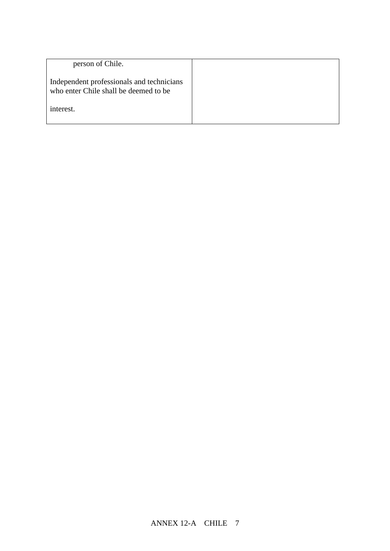| person of Chile.                                                                   |  |
|------------------------------------------------------------------------------------|--|
| Independent professionals and technicians<br>who enter Chile shall be deemed to be |  |
| interest.                                                                          |  |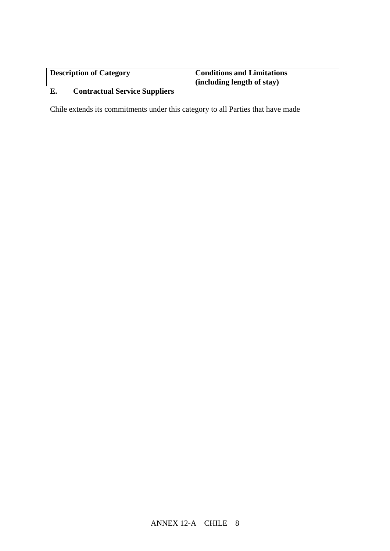**Conditions and Limitations (including length of stay)**

## **C. E. Contractual Service Suppliers**

Chile extends its commitments under this category to all Parties that have made